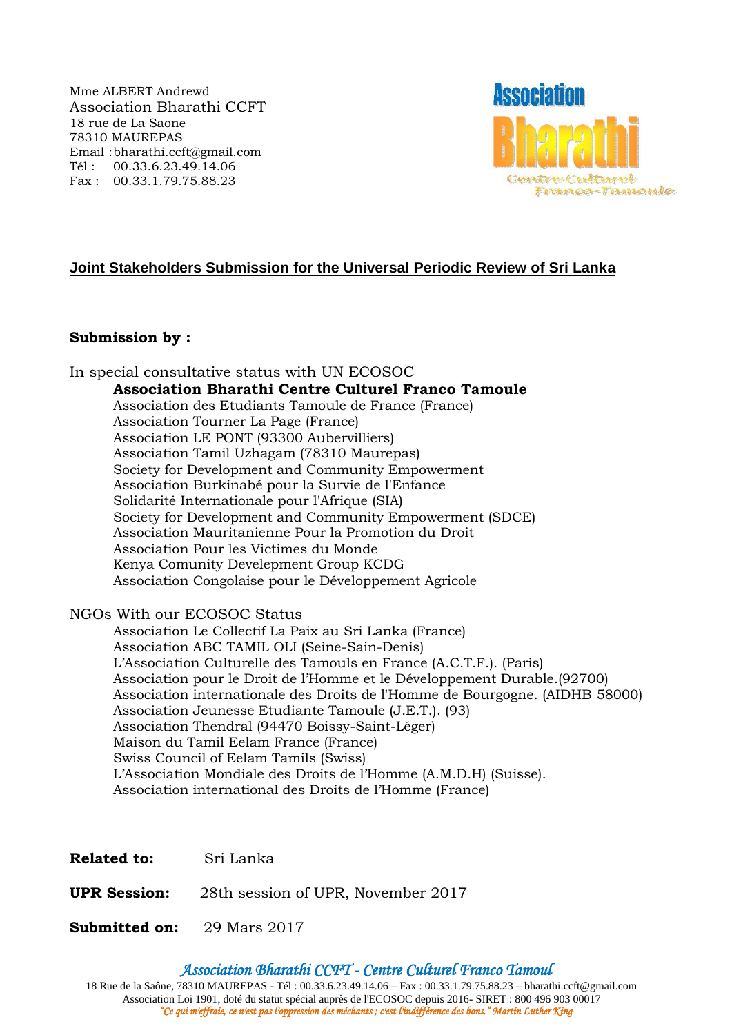Mme ALBERT Andrewd Association Bharathi CCFT 18 rue de La Saone 78310 MAUREPAS Email :bharathi.ccft@gmail.com Tél : 00.33.6.23.49.14.06 Fax : 00.33.1.79.75.88.23



# **Joint Stakeholders Submission for the Universal Periodic Review of Sri Lanka**

### **Submission by :**

In special consultative status with UN ECOSOC **Association Bharathi Centre Culturel Franco Tamoule** Association des Etudiants Tamoule de France (France) Association Tourner La Page (France) Association LE PONT (93300 Aubervilliers) Association Tamil Uzhagam (78310 Maurepas) Society for Development and Community Empowerment Association Burkinabé pour la Survie de l'Enfance Solidarité Internationale pour l'Afrique (SIA) Society for Development and Community Empowerment (SDCE) Association Mauritanienne Pour la Promotion du Droit Association Pour les Victimes du Monde Kenya Comunity Develepment Group KCDG Association Congolaise pour le Développement Agricole NGOs With our ECOSOC Status Association Le Collectif La Paix au Sri Lanka (France) Association ABC TAMIL OLI (Seine-Sain-Denis) L'Association Culturelle des Tamouls en France (A.C.T.F.). (Paris) Association pour le Droit de l'Homme et le Développement Durable.(92700) Association internationale des Droits de l'Homme de Bourgogne. (AIDHB 58000) Association Jeunesse Etudiante Tamoule (J.E.T.). (93) Association Thendral (94470 Boissy-Saint-Léger) Maison du Tamil Eelam France (France) Swiss Council of Eelam Tamils (Swiss)

L'Association Mondiale des Droits de l'Homme (A.M.D.H) (Suisse). Association international des Droits de l'Homme (France)

**Related to:** Sri Lanka

**UPR Session:** 28th session of UPR, November 2017

**Submitted on:** 29 Mars 2017

*Association Bharathi CCFT - Centre Culturel Franco Tamoul*

18 Rue de la Saône, 78310 MAUREPAS - Tél : 00.33.6.23.49.14.06 – Fax : 00.33.1.79.75.88.23 – bharathi.ccft@gmail.com Association Loi 1901, doté du statut spécial auprès de l'ECOSOC depuis 2016- SIRET : 800 496 903 00017 *"Ce qui m'effraie, ce n'est pas l'oppression des méchants ; c'est l'indifférence des bons." Martin Luther King*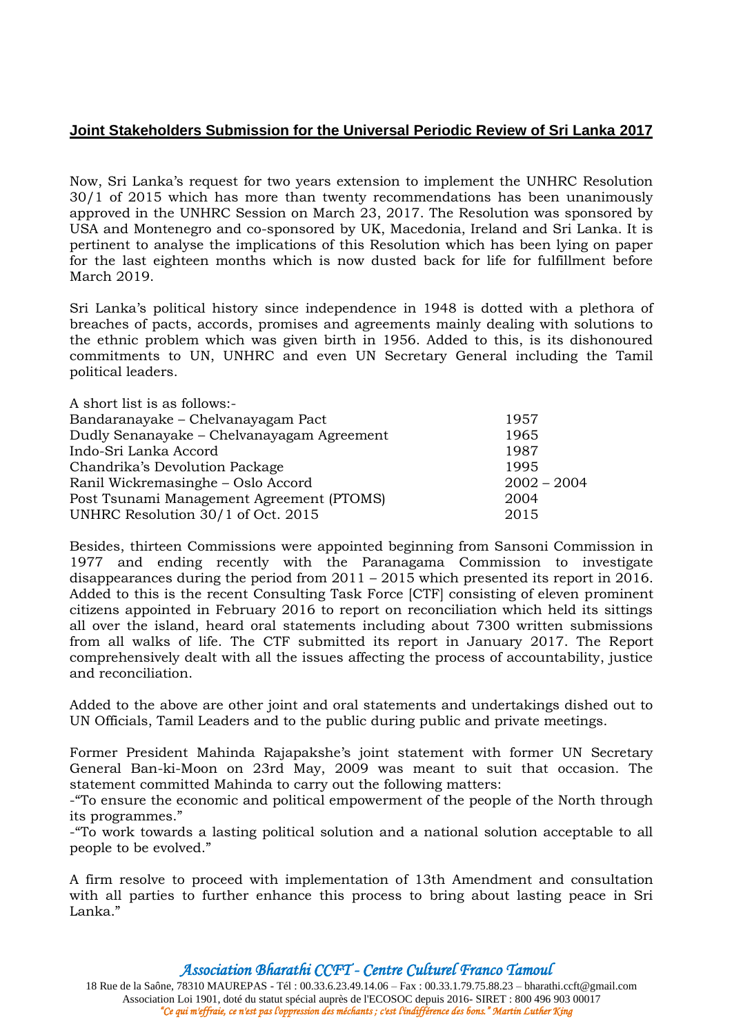## **Joint Stakeholders Submission for the Universal Periodic Review of Sri Lanka 2017**

Now, Sri Lanka's request for two years extension to implement the UNHRC Resolution 30/1 of 2015 which has more than twenty recommendations has been unanimously approved in the UNHRC Session on March 23, 2017. The Resolution was sponsored by USA and Montenegro and co-sponsored by UK, Macedonia, Ireland and Sri Lanka. It is pertinent to analyse the implications of this Resolution which has been lying on paper for the last eighteen months which is now dusted back for life for fulfillment before March 2019.

Sri Lanka's political history since independence in 1948 is dotted with a plethora of breaches of pacts, accords, promises and agreements mainly dealing with solutions to the ethnic problem which was given birth in 1956. Added to this, is its dishonoured commitments to UN, UNHRC and even UN Secretary General including the Tamil political leaders.

| A short list is as follows:-               |               |
|--------------------------------------------|---------------|
| Bandaranayake – Chelvanayagam Pact         | 1957          |
| Dudly Senanayake – Chelvanayagam Agreement | 1965          |
| Indo-Sri Lanka Accord                      | 1987          |
| Chandrika's Devolution Package             | 1995          |
| Ranil Wickremasinghe - Oslo Accord         | $2002 - 2004$ |
| Post Tsunami Management Agreement (PTOMS)  | 2004          |
| UNHRC Resolution 30/1 of Oct. 2015         | 2015          |

Besides, thirteen Commissions were appointed beginning from Sansoni Commission in 1977 and ending recently with the Paranagama Commission to investigate disappearances during the period from 2011 – 2015 which presented its report in 2016. Added to this is the recent Consulting Task Force [CTF] consisting of eleven prominent citizens appointed in February 2016 to report on reconciliation which held its sittings all over the island, heard oral statements including about 7300 written submissions from all walks of life. The CTF submitted its report in January 2017. The Report comprehensively dealt with all the issues affecting the process of accountability, justice and reconciliation.

Added to the above are other joint and oral statements and undertakings dished out to UN Officials, Tamil Leaders and to the public during public and private meetings.

Former President Mahinda Rajapakshe's joint statement with former UN Secretary General Ban-ki-Moon on 23rd May, 2009 was meant to suit that occasion. The statement committed Mahinda to carry out the following matters:

-"To ensure the economic and political empowerment of the people of the North through its programmes."

-"To work towards a lasting political solution and a national solution acceptable to all people to be evolved."

A firm resolve to proceed with implementation of 13th Amendment and consultation with all parties to further enhance this process to bring about lasting peace in Sri Lanka."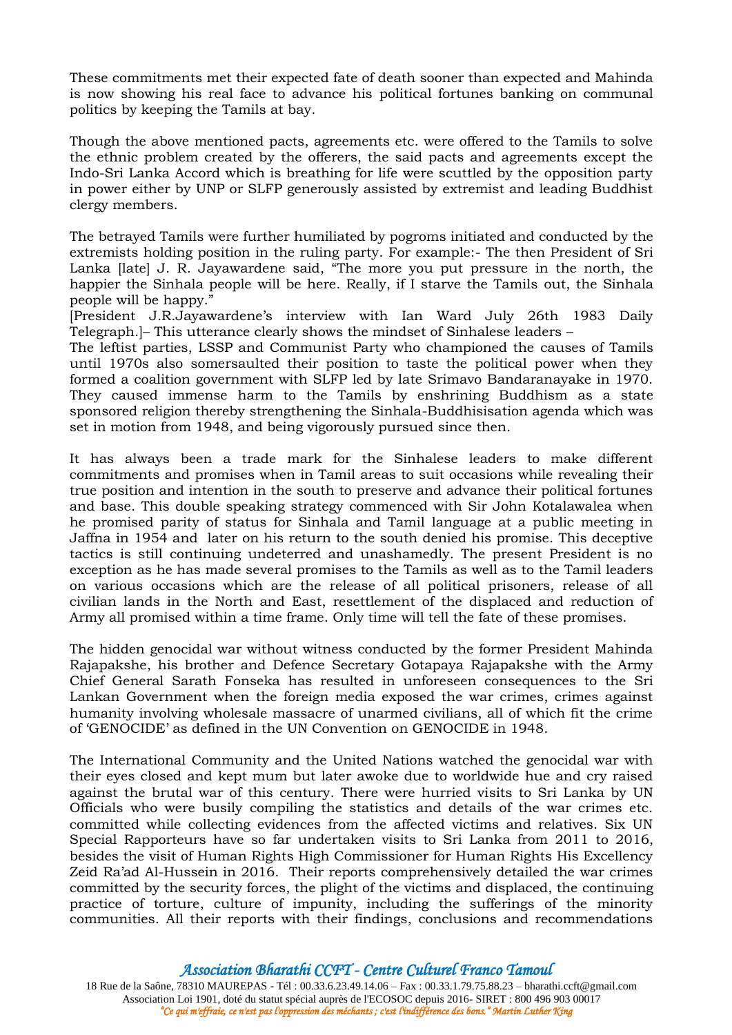These commitments met their expected fate of death sooner than expected and Mahinda is now showing his real face to advance his political fortunes banking on communal politics by keeping the Tamils at bay.

Though the above mentioned pacts, agreements etc. were offered to the Tamils to solve the ethnic problem created by the offerers, the said pacts and agreements except the Indo-Sri Lanka Accord which is breathing for life were scuttled by the opposition party in power either by UNP or SLFP generously assisted by extremist and leading Buddhist clergy members.

The betrayed Tamils were further humiliated by pogroms initiated and conducted by the extremists holding position in the ruling party. For example:- The then President of Sri Lanka [late] J. R. Jayawardene said, "The more you put pressure in the north, the happier the Sinhala people will be here. Really, if I starve the Tamils out, the Sinhala people will be happy."

[President J.R.Jayawardene's interview with Ian Ward July 26th 1983 Daily Telegraph.]– This utterance clearly shows the mindset of Sinhalese leaders –

The leftist parties, LSSP and Communist Party who championed the causes of Tamils until 1970s also somersaulted their position to taste the political power when they formed a coalition government with SLFP led by late Srimavo Bandaranayake in 1970. They caused immense harm to the Tamils by enshrining Buddhism as a state sponsored religion thereby strengthening the Sinhala-Buddhisisation agenda which was set in motion from 1948, and being vigorously pursued since then.

It has always been a trade mark for the Sinhalese leaders to make different commitments and promises when in Tamil areas to suit occasions while revealing their true position and intention in the south to preserve and advance their political fortunes and base. This double speaking strategy commenced with Sir John Kotalawalea when he promised parity of status for Sinhala and Tamil language at a public meeting in Jaffna in 1954 and later on his return to the south denied his promise. This deceptive tactics is still continuing undeterred and unashamedly. The present President is no exception as he has made several promises to the Tamils as well as to the Tamil leaders on various occasions which are the release of all political prisoners, release of all civilian lands in the North and East, resettlement of the displaced and reduction of Army all promised within a time frame. Only time will tell the fate of these promises.

The hidden genocidal war without witness conducted by the former President Mahinda Rajapakshe, his brother and Defence Secretary Gotapaya Rajapakshe with the Army Chief General Sarath Fonseka has resulted in unforeseen consequences to the Sri Lankan Government when the foreign media exposed the war crimes, crimes against humanity involving wholesale massacre of unarmed civilians, all of which fit the crime of 'GENOCIDE' as defined in the UN Convention on GENOCIDE in 1948.

The International Community and the United Nations watched the genocidal war with their eyes closed and kept mum but later awoke due to worldwide hue and cry raised against the brutal war of this century. There were hurried visits to Sri Lanka by UN Officials who were busily compiling the statistics and details of the war crimes etc. committed while collecting evidences from the affected victims and relatives. Six UN Special Rapporteurs have so far undertaken visits to Sri Lanka from 2011 to 2016, besides the visit of Human Rights High Commissioner for Human Rights His Excellency Zeid Ra'ad Al-Hussein in 2016. Their reports comprehensively detailed the war crimes committed by the security forces, the plight of the victims and displaced, the continuing practice of torture, culture of impunity, including the sufferings of the minority communities. All their reports with their findings, conclusions and recommendations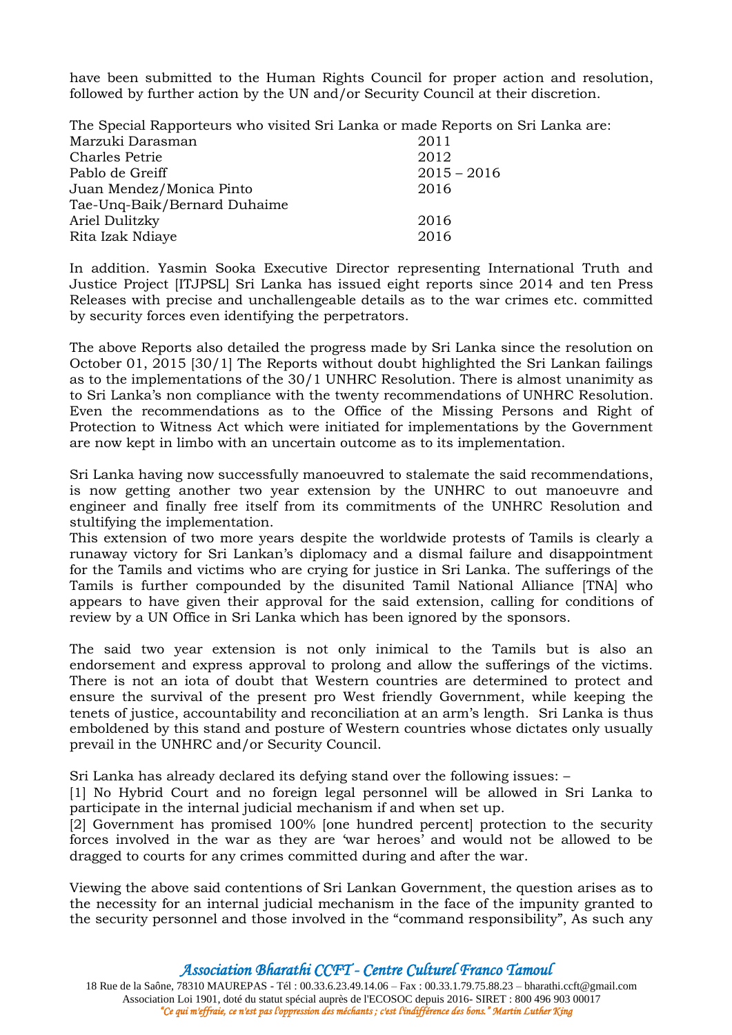have been submitted to the Human Rights Council for proper action and resolution, followed by further action by the UN and/or Security Council at their discretion.

The Special Rapporteurs who visited Sri Lanka or made Reports on Sri Lanka are:

| Marzuki Darasman             | 2011          |
|------------------------------|---------------|
| Charles Petrie               | 2012          |
| Pablo de Greiff              | $2015 - 2016$ |
| Juan Mendez/Monica Pinto     | 2016          |
| Tae-Unq-Baik/Bernard Duhaime |               |
| Ariel Dulitzky               | 2016          |
| Rita Izak Ndiaye             | 2016          |

In addition. Yasmin Sooka Executive Director representing International Truth and Justice Project [ITJPSL] Sri Lanka has issued eight reports since 2014 and ten Press Releases with precise and unchallengeable details as to the war crimes etc. committed by security forces even identifying the perpetrators.

The above Reports also detailed the progress made by Sri Lanka since the resolution on October 01, 2015 [30/1] The Reports without doubt highlighted the Sri Lankan failings as to the implementations of the 30/1 UNHRC Resolution. There is almost unanimity as to Sri Lanka's non compliance with the twenty recommendations of UNHRC Resolution. Even the recommendations as to the Office of the Missing Persons and Right of Protection to Witness Act which were initiated for implementations by the Government are now kept in limbo with an uncertain outcome as to its implementation.

Sri Lanka having now successfully manoeuvred to stalemate the said recommendations, is now getting another two year extension by the UNHRC to out manoeuvre and engineer and finally free itself from its commitments of the UNHRC Resolution and stultifying the implementation.

This extension of two more years despite the worldwide protests of Tamils is clearly a runaway victory for Sri Lankan's diplomacy and a dismal failure and disappointment for the Tamils and victims who are crying for justice in Sri Lanka. The sufferings of the Tamils is further compounded by the disunited Tamil National Alliance [TNA] who appears to have given their approval for the said extension, calling for conditions of review by a UN Office in Sri Lanka which has been ignored by the sponsors.

The said two year extension is not only inimical to the Tamils but is also an endorsement and express approval to prolong and allow the sufferings of the victims. There is not an iota of doubt that Western countries are determined to protect and ensure the survival of the present pro West friendly Government, while keeping the tenets of justice, accountability and reconciliation at an arm's length. Sri Lanka is thus emboldened by this stand and posture of Western countries whose dictates only usually prevail in the UNHRC and/or Security Council.

Sri Lanka has already declared its defying stand over the following issues: –

[1] No Hybrid Court and no foreign legal personnel will be allowed in Sri Lanka to participate in the internal judicial mechanism if and when set up.

[2] Government has promised 100% [one hundred percent] protection to the security forces involved in the war as they are 'war heroes' and would not be allowed to be dragged to courts for any crimes committed during and after the war.

Viewing the above said contentions of Sri Lankan Government, the question arises as to the necessity for an internal judicial mechanism in the face of the impunity granted to the security personnel and those involved in the "command responsibility", As such any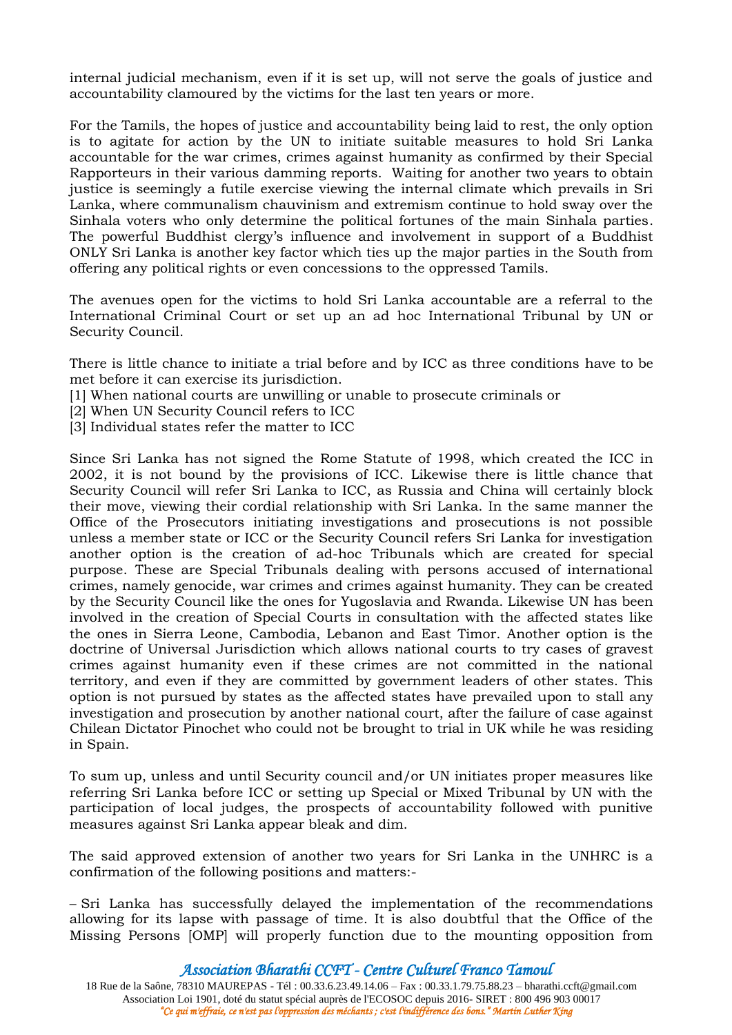internal judicial mechanism, even if it is set up, will not serve the goals of justice and accountability clamoured by the victims for the last ten years or more.

For the Tamils, the hopes of justice and accountability being laid to rest, the only option is to agitate for action by the UN to initiate suitable measures to hold Sri Lanka accountable for the war crimes, crimes against humanity as confirmed by their Special Rapporteurs in their various damming reports. Waiting for another two years to obtain justice is seemingly a futile exercise viewing the internal climate which prevails in Sri Lanka, where communalism chauvinism and extremism continue to hold sway over the Sinhala voters who only determine the political fortunes of the main Sinhala parties. The powerful Buddhist clergy's influence and involvement in support of a Buddhist ONLY Sri Lanka is another key factor which ties up the major parties in the South from offering any political rights or even concessions to the oppressed Tamils.

The avenues open for the victims to hold Sri Lanka accountable are a referral to the International Criminal Court or set up an ad hoc International Tribunal by UN or Security Council.

There is little chance to initiate a trial before and by ICC as three conditions have to be met before it can exercise its jurisdiction.

- [1] When national courts are unwilling or unable to prosecute criminals or
- [2] When UN Security Council refers to ICC
- [3] Individual states refer the matter to ICC

Since Sri Lanka has not signed the Rome Statute of 1998, which created the ICC in 2002, it is not bound by the provisions of ICC. Likewise there is little chance that Security Council will refer Sri Lanka to ICC, as Russia and China will certainly block their move, viewing their cordial relationship with Sri Lanka. In the same manner the Office of the Prosecutors initiating investigations and prosecutions is not possible unless a member state or ICC or the Security Council refers Sri Lanka for investigation another option is the creation of ad-hoc Tribunals which are created for special purpose. These are Special Tribunals dealing with persons accused of international crimes, namely genocide, war crimes and crimes against humanity. They can be created by the Security Council like the ones for Yugoslavia and Rwanda. Likewise UN has been involved in the creation of Special Courts in consultation with the affected states like the ones in Sierra Leone, Cambodia, Lebanon and East Timor. Another option is the doctrine of Universal Jurisdiction which allows national courts to try cases of gravest crimes against humanity even if these crimes are not committed in the national territory, and even if they are committed by government leaders of other states. This option is not pursued by states as the affected states have prevailed upon to stall any investigation and prosecution by another national court, after the failure of case against Chilean Dictator Pinochet who could not be brought to trial in UK while he was residing in Spain.

To sum up, unless and until Security council and/or UN initiates proper measures like referring Sri Lanka before ICC or setting up Special or Mixed Tribunal by UN with the participation of local judges, the prospects of accountability followed with punitive measures against Sri Lanka appear bleak and dim.

The said approved extension of another two years for Sri Lanka in the UNHRC is a confirmation of the following positions and matters:-

– Sri Lanka has successfully delayed the implementation of the recommendations allowing for its lapse with passage of time. It is also doubtful that the Office of the Missing Persons [OMP] will properly function due to the mounting opposition from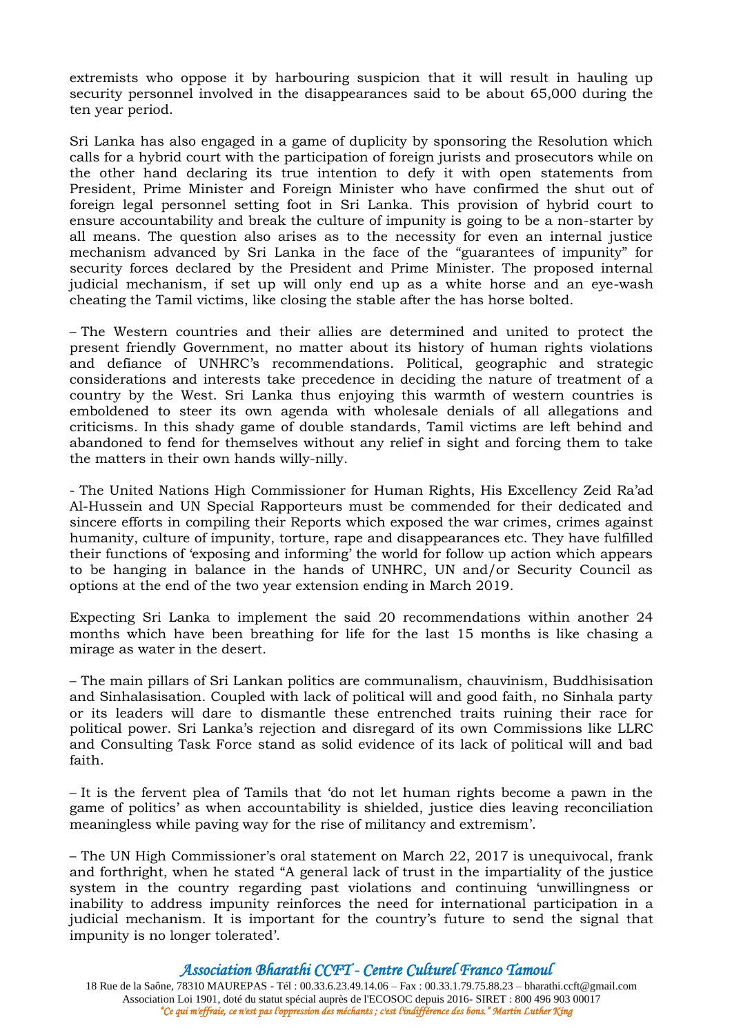extremists who oppose it by harbouring suspicion that it will result in hauling up security personnel involved in the disappearances said to be about 65,000 during the ten year period.

Sri Lanka has also engaged in a game of duplicity by sponsoring the Resolution which calls for a hybrid court with the participation of foreign jurists and prosecutors while on the other hand declaring its true intention to defy it with open statements from President, Prime Minister and Foreign Minister who have confirmed the shut out of foreign legal personnel setting foot in Sri Lanka. This provision of hybrid court to ensure accountability and break the culture of impunity is going to be a non-starter by all means. The question also arises as to the necessity for even an internal justice mechanism advanced by Sri Lanka in the face of the "guarantees of impunity" for security forces declared by the President and Prime Minister. The proposed internal judicial mechanism, if set up will only end up as a white horse and an eye-wash cheating the Tamil victims, like closing the stable after the has horse bolted.

– The Western countries and their allies are determined and united to protect the present friendly Government, no matter about its history of human rights violations and defiance of UNHRC's recommendations. Political, geographic and strategic considerations and interests take precedence in deciding the nature of treatment of a country by the West. Sri Lanka thus enjoying this warmth of western countries is emboldened to steer its own agenda with wholesale denials of all allegations and criticisms. In this shady game of double standards, Tamil victims are left behind and abandoned to fend for themselves without any relief in sight and forcing them to take the matters in their own hands willy-nilly.

- The United Nations High Commissioner for Human Rights, His Excellency Zeid Ra'ad Al-Hussein and UN Special Rapporteurs must be commended for their dedicated and sincere efforts in compiling their Reports which exposed the war crimes, crimes against humanity, culture of impunity, torture, rape and disappearances etc. They have fulfilled their functions of 'exposing and informing' the world for follow up action which appears to be hanging in balance in the hands of UNHRC, UN and/or Security Council as options at the end of the two year extension ending in March 2019.

Expecting Sri Lanka to implement the said 20 recommendations within another 24 months which have been breathing for life for the last 15 months is like chasing a mirage as water in the desert.

– The main pillars of Sri Lankan politics are communalism, chauvinism, Buddhisisation and Sinhalasisation. Coupled with lack of political will and good faith, no Sinhala party or its leaders will dare to dismantle these entrenched traits ruining their race for political power. Sri Lanka's rejection and disregard of its own Commissions like LLRC and Consulting Task Force stand as solid evidence of its lack of political will and bad faith.

– It is the fervent plea of Tamils that 'do not let human rights become a pawn in the game of politics' as when accountability is shielded, justice dies leaving reconciliation meaningless while paving way for the rise of militancy and extremism'.

– The UN High Commissioner's oral statement on March 22, 2017 is unequivocal, frank and forthright, when he stated "A general lack of trust in the impartiality of the justice system in the country regarding past violations and continuing 'unwillingness or inability to address impunity reinforces the need for international participation in a judicial mechanism. It is important for the country's future to send the signal that impunity is no longer tolerated'.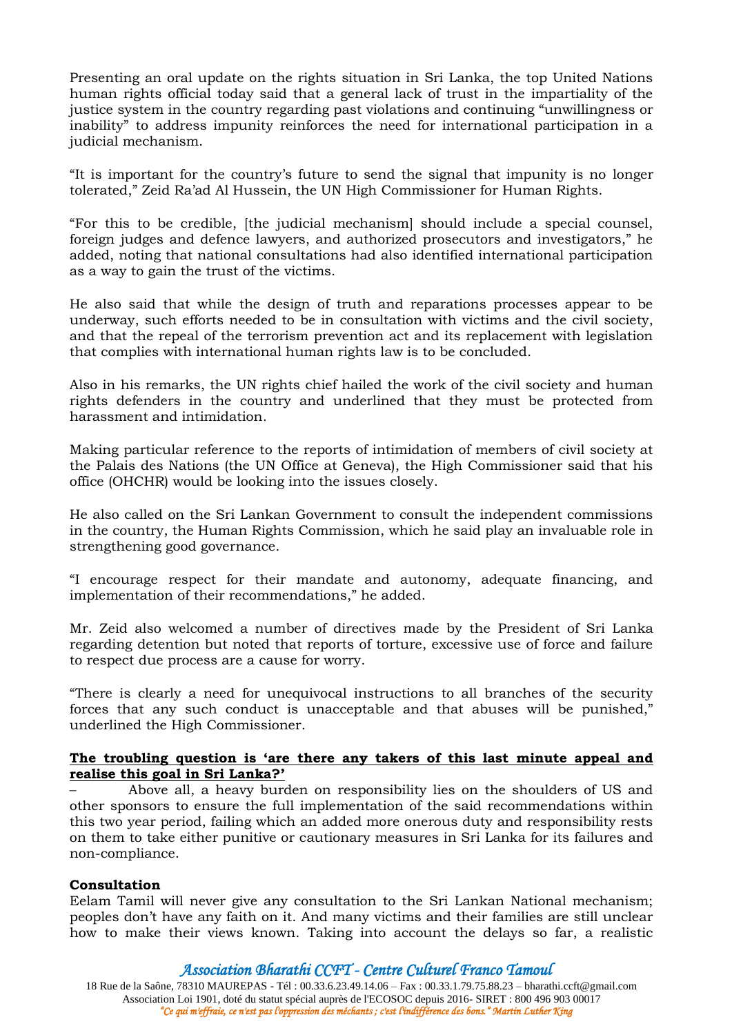Presenting an oral update on the rights situation in Sri Lanka, the top United Nations human rights official today said that a general lack of trust in the impartiality of the justice system in the country regarding past violations and continuing "unwillingness or inability" to address impunity reinforces the need for international participation in a judicial mechanism.

"It is important for the country's future to send the signal that impunity is no longer tolerated," Zeid Ra'ad Al Hussein, the UN High Commissioner for Human Rights.

"For this to be credible, [the judicial mechanism] should include a special counsel, foreign judges and defence lawyers, and authorized prosecutors and investigators," he added, noting that national consultations had also identified international participation as a way to gain the trust of the victims.

He also said that while the design of truth and reparations processes appear to be underway, such efforts needed to be in consultation with victims and the civil society, and that the repeal of the terrorism prevention act and its replacement with legislation that complies with international human rights law is to be concluded.

Also in his remarks, the UN rights chief hailed the work of the civil society and human rights defenders in the country and underlined that they must be protected from harassment and intimidation.

Making particular reference to the reports of intimidation of members of civil society at the Palais des Nations (the UN Office at Geneva), the High Commissioner said that his office (OHCHR) would be looking into the issues closely.

He also called on the Sri Lankan Government to consult the independent commissions in the country, the Human Rights Commission, which he said play an invaluable role in strengthening good governance.

"I encourage respect for their mandate and autonomy, adequate financing, and implementation of their recommendations," he added.

Mr. Zeid also welcomed a number of directives made by the President of Sri Lanka regarding detention but noted that reports of torture, excessive use of force and failure to respect due process are a cause for worry.

"There is clearly a need for unequivocal instructions to all branches of the security forces that any such conduct is unacceptable and that abuses will be punished," underlined the High Commissioner.

### **The troubling question is 'are there any takers of this last minute appeal and realise this goal in Sri Lanka?'**

– Above all, a heavy burden on responsibility lies on the shoulders of US and other sponsors to ensure the full implementation of the said recommendations within this two year period, failing which an added more onerous duty and responsibility rests on them to take either punitive or cautionary measures in Sri Lanka for its failures and non-compliance.

### **Consultation**

Eelam Tamil will never give any consultation to the Sri Lankan National mechanism; peoples don't have any faith on it. And many victims and their families are still unclear how to make their views known. Taking into account the delays so far, a realistic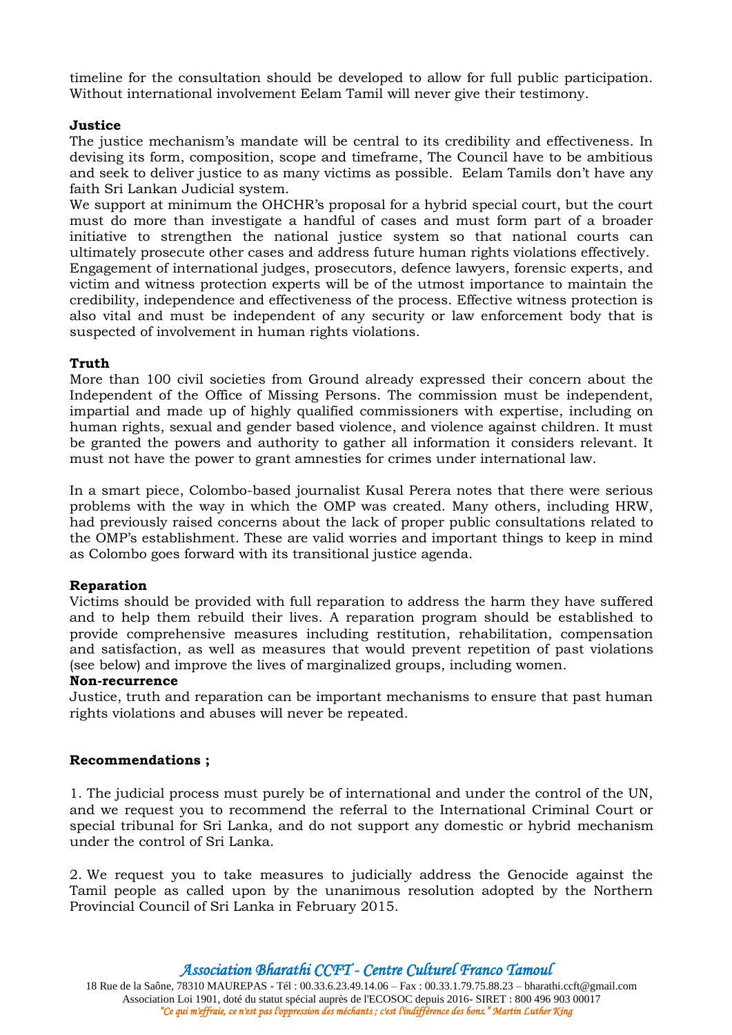timeline for the consultation should be developed to allow for full public participation. Without international involvement Eelam Tamil will never give their testimony.

### **Justice**

The justice mechanism's mandate will be central to its credibility and effectiveness. In devising its form, composition, scope and timeframe, The Council have to be ambitious and seek to deliver justice to as many victims as possible. Eelam Tamils don't have any faith Sri Lankan Judicial system.

We support at minimum the OHCHR's proposal for a hybrid special court, but the court must do more than investigate a handful of cases and must form part of a broader initiative to strengthen the national justice system so that national courts can ultimately prosecute other cases and address future human rights violations effectively. Engagement of international judges, prosecutors, defence lawyers, forensic experts, and victim and witness protection experts will be of the utmost importance to maintain the credibility, independence and effectiveness of the process. Effective witness protection is also vital and must be independent of any security or law enforcement body that is suspected of involvement in human rights violations.

#### **Truth**

More than 100 civil societies from Ground already expressed their concern about the Independent of the Office of Missing Persons. The commission must be independent, impartial and made up of highly qualified commissioners with expertise, including on human rights, sexual and gender based violence, and violence against children. It must be granted the powers and authority to gather all information it considers relevant. It must not have the power to grant amnesties for crimes under international law.

In a smart piece, Colombo-based journalist Kusal Perera notes that there were serious problems with the way in which the OMP was created. Many others, including HRW, had previously raised concerns about the lack of proper public consultations related to the OMP's establishment. These are valid worries and important things to keep in mind as Colombo goes forward with its transitional justice agenda.

### **Reparation**

Victims should be provided with full reparation to address the harm they have suffered and to help them rebuild their lives. A reparation program should be established to provide comprehensive measures including restitution, rehabilitation, compensation and satisfaction, as well as measures that would prevent repetition of past violations (see below) and improve the lives of marginalized groups, including women.

## **Non-recurrence**

Justice, truth and reparation can be important mechanisms to ensure that past human rights violations and abuses will never be repeated.

#### **Recommendations ;**

1. The judicial process must purely be of international and under the control of the UN, and we request you to recommend the referral to the International Criminal Court or special tribunal for Sri Lanka, and do not support any domestic or hybrid mechanism under the control of Sri Lanka.

2. We request you to take measures to judicially address the Genocide against the Tamil people as called upon by the unanimous resolution adopted by the Northern Provincial Council of Sri Lanka in February 2015.